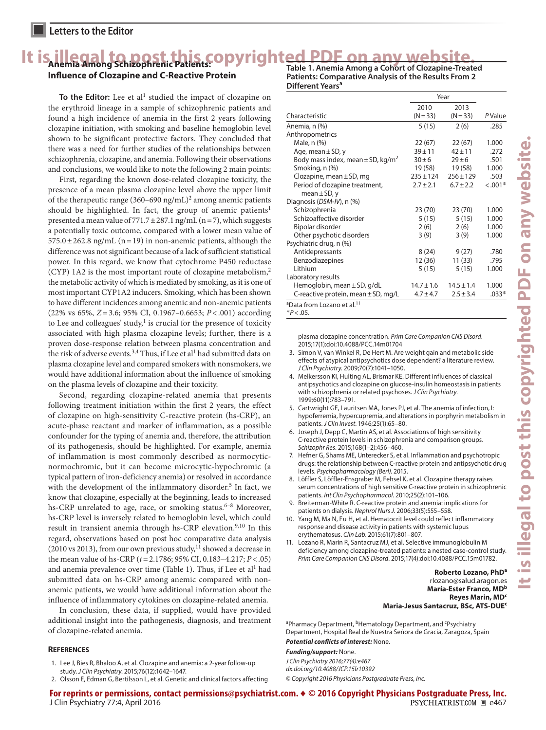## It is illegal to post this copyrighted PDF on any website.

## **Influence of Clozapine and C-Reactive Protein**

To the Editor: Lee et al<sup>1</sup> studied the impact of clozapine on the erythroid lineage in a sample of schizophrenic patients and found a high incidence of anemia in the first 2 years following clozapine initiation, with smoking and baseline hemoglobin level shown to be significant protective factors. They concluded that there was a need for further studies of the relationships between schizophrenia, clozapine, and anemia. Following their observations and conclusions, we would like to note the following 2 main points:

First, regarding the known dose-related clozapine toxicity, the presence of a mean plasma clozapine level above the upper limit of the therapeutic range (360-690 ng/mL)<sup>2</sup> among anemic patients should be highlighted. In fact, the group of anemic patients<sup>1</sup> presented a mean value of  $771.7 \pm 287.1$  ng/mL (n = 7), which suggests a potentially toxic outcome, compared with a lower mean value of  $575.0 \pm 262.8$  ng/mL (n=19) in non-anemic patients, although the difference was not significant because of a lack of sufficient statistical power. In this regard, we know that cytochrome P450 reductase (CYP) 1A2 is the most important route of clozapine metabolism, $<sup>2</sup>$ </sup> the metabolic activity of which is mediated by smoking, as it is one of most important CYP1A2 inducers. Smoking, which has been shown to have different incidences among anemic and non-anemic patients (22% vs 65%, *Z*=3.6; 95% CI, 0.1967–0.6653; *P*<.001) according to Lee and colleagues' study, $1$  is crucial for the presence of toxicity associated with high plasma clozapine levels; further, there is a proven dose-response relation between plasma concentration and the risk of adverse events.  $3,4$  Thus, if Lee et al<sup>1</sup> had submitted data on plasma clozapine level and compared smokers with nonsmokers, we would have additional information about the influence of smoking on the plasma levels of clozapine and their toxicity.

Second, regarding clozapine-related anemia that presents following treatment initiation within the first 2 years, the effect of clozapine on high-sensitivity C-reactive protein (hs-CRP), an acute-phase reactant and marker of inflammation, as a possible confounder for the typing of anemia and, therefore, the attribution of its pathogenesis, should be highlighted. For example, anemia of inflammation is most commonly described as normocyticnormochromic, but it can become microcytic-hypochromic (a typical pattern of iron-deficiency anemia) or resolved in accordance with the development of the inflammatory disorder.<sup>5</sup> In fact, we know that clozapine, especially at the beginning, leads to increased hs-CRP unrelated to age, race, or smoking status.<sup>6-8</sup> Moreover, hs-CRP level is inversely related to hemoglobin level, which could result in transient anemia through hs-CRP elevation.<sup>9,10</sup> In this regard, observations based on post hoc comparative data analysis (2010 vs 2013), from our own previous study, $11$  showed a decrease in the mean value of hs-CRP (*t*=2.1786; 95% CI, 0.183–4.217; *P*<.05) and anemia prevalence over time (Table 1). Thus, if Lee et al<sup>1</sup> had submitted data on hs-CRP among anemic compared with nonanemic patients, we would have additional information about the influence of inflammatory cytokines on clozapine-related anemia.

In conclusion, these data, if supplied, would have provided additional insight into the pathogenesis, diagnosis, and treatment of clozapine-related anemia.

#### **References**

- 1. Lee J, Bies R, Bhaloo A, et al. Clozapine and anemia: a 2-year follow-up study. *J Clin Psychiatry*. 2015;76(12):1642-1647.
- 2. Olsson E, Edman G, Bertilsson L, et al. Genetic and clinical factors affecting

**Table 1. Anemia Among a Cohort of Clozapine-Treated Patients: Comparative Analysis of the Results From 2 Different Years<sup>a</sup>**

|                                                    | Year           |                |           |
|----------------------------------------------------|----------------|----------------|-----------|
|                                                    | 2010           | 2013           |           |
| Characteristic                                     | $(N = 33)$     | $(N = 33)$     | PValue    |
| Anemia, n (%)                                      | 5(15)          | 2(6)           | .285      |
| Anthropometrics                                    |                |                |           |
| Male, n (%)                                        | 22(67)         | 22(67)         | 1.000     |
| Age, mean $\pm$ SD, y                              | $39 + 11$      | $42 + 11$      | .272      |
| Body mass index, mean $\pm$ SD, kg/m <sup>2</sup>  | $30 + 6$       | $29 + 6$       | .501      |
| Smoking, n (%)                                     | 19 (58)        | 19 (58)        | 1.000     |
| Clozapine, mean $\pm$ SD, mg                       | $235 \pm 124$  | $256 \pm 129$  | .503      |
| Period of clozapine treatment,                     | $2.7 \pm 2.1$  | $6.7 \pm 2.2$  | $< .001*$ |
| mean $\pm$ SD, y                                   |                |                |           |
| Diagnosis (DSM-IV), n (%)                          |                |                |           |
| Schizophrenia                                      | 23(70)         | 23(70)         | 1.000     |
| Schizoaffective disorder                           | 5(15)          | 5(15)          | 1.000     |
| Bipolar disorder                                   | 2(6)           | 2(6)           | 1.000     |
| Other psychotic disorders                          | 3(9)           | 3(9)           | 1.000     |
| Psychiatric drug, n (%)                            |                |                |           |
| Antidepressants                                    | 8(24)          | 9(27)          | .780      |
| Benzodiazepines                                    | 12 (36)        | 11 (33)        | .795      |
| <b>lithium</b>                                     | 5(15)          | 5(15)          | 1.000     |
| Laboratory results                                 |                |                |           |
| Hemoglobin, mean $\pm$ SD, g/dL                    | $14.7 \pm 1.6$ | $14.5 \pm 1.4$ | 1.000     |
| C-reactive protein, mean $\pm$ SD, mg/L            | $4.7 \pm 4.7$  | $2.5 \pm 3.4$  | $.033*$   |
| <sup>a</sup> Data from Lozano et al. <sup>11</sup> |                |                |           |

\**P*<.05.

plasma clozapine concentration. *Prim Care Companion CNS Disord*.

- 2015:17(1):doi:10.4088/PCC.14m01704 3. Simon V, van Winkel R, De Hert M. Are weight gain and metabolic side effects of atypical antipsychotics dose dependent? a literature review. *JClin Psychiatry.* 2009;70(7):1041-1050.
- 4. Melkersson KI, Hulting AL, Brismar KE. Different influences of classical antipsychotics and clozapine on glucose-insulin homeostasis in patients with schizophrenia or related psychoses. *J Clin Psychiatry*. 1999:60(11):783-791.
- 5. Cartwright GE, Lauritsen MA, Jones PJ, et al. The anemia of infection, I: hypoferremia, hypercupremia, and alterations in porphyrin metabolism in patients. *J Clin Invest*. 1946;25(1):65-80.
- 6. Joseph J, Depp C, Martin AS, et al. Associations of high sensitivity C-reactive protein levels in schizophrenia and comparison groups. *Schizophr Res.* 2015;168(1-2):456-460.
- 7. Hefner G, Shams ME, Unterecker S, et al. Inflammation and psychotropic drugs: the relationship between C-reactive protein and antipsychotic drug levels. Psychopharmacology (Berl). 2015.
- 8. Löffler S, Löffler-Ensgraber M, Fehsel K, et al. Clozapine therapy raises serum concentrations of high sensitive C-reactive protein in schizophrenic patients. *Int Clin Psychopharmacol*. 2010;25(2):101-106.
- 9. Breiterman-White R. C-reactive protein and anemia: implications for patients on dialysis. Nephrol Nurs J. 2006;33(5):555-558.
- 10. Yang M, Ma N, Fu H, et al. Hematocrit level could reflect inflammatory response and disease activity in patients with systemic lupus erythematosus. *Clin Lab*. 2015;61(7):801-807.
- 11. Lozano R, Marín R, Santacruz MJ, et al. Selective immunoglobulin M deficiency among clozapine-treated patients: a nested case-control study. Prim Care Companion CNS Disord. 2015;17(4):doi:10.4088/PCC.15m01782.

#### **Roberto Lozano, PhD<sup>a</sup>** rlozano@salud.aragon.es **María-Ester Franco, MD<sup>b</sup> Reyes Marin, MDc Maria-Jesus Santacruz, BSc, ATS-DUEc**

<sup>a</sup>Pharmacy Department, <sup>b</sup>Hematology Department, and <sup>c</sup>Psychiatry Department, Hospital Real de Nuestra Señora de Gracia, Zaragoza, Spain

*Potential conflicts of interest:* None.

*Funding/support:* None. *J Clin Psychiatry 2016;77(4):e467 dx.doi.org/10.4088/JCP.15lr10392*

*© Copyright 2016 Physicians Postgraduate Press, Inc.*

**For reprints or permissions, contact permissions@psychiatrist.com.** ♦ **© 2016 Copyright Physicians Postgraduate Press, Inc.** J Clin Psychiatry 77:4, April 2016